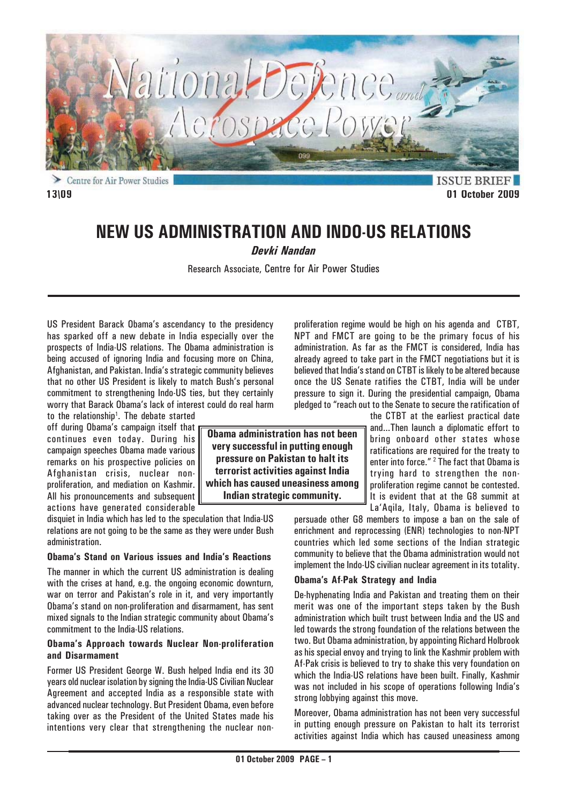

**ISSUE BRIEF 13\09 01 October 2009**

# **NEW US ADMINISTRATION AND INDO-US RELATIONS**

*Devki Nandan*

Research Associate, Centre for Air Power Studies

US President Barack Obama's ascendancy to the presidency has sparked off a new debate in India especially over the prospects of India-US relations. The Obama administration is being accused of ignoring India and focusing more on China, Afghanistan, and Pakistan. India's strategic community believes that no other US President is likely to match Bush's personal commitment to strengthening Indo-US ties, but they certainly worry that Barack Obama's lack of interest could do real harm

to the relationship<sup>1</sup>. The debate started off during Obama's campaign itself that continues even today. During his campaign speeches Obama made various remarks on his prospective policies on Afghanistan crisis, nuclear nonproliferation, and mediation on Kashmir. All his pronouncements and subsequent actions have generated considerable

disquiet in India which has led to the speculation that India-US relations are not going to be the same as they were under Bush administration.

#### **Obama's Stand on Various issues and India's Reactions**

The manner in which the current US administration is dealing with the crises at hand, e.g. the ongoing economic downturn, war on terror and Pakistan's role in it, and very importantly Obama's stand on non-proliferation and disarmament, has sent mixed signals to the Indian strategic community about Obama's commitment to the India-US relations.

### **Obama's Approach towards Nuclear Non-proliferation and Disarmament**

Former US President George W. Bush helped India end its 30 years old nuclear isolation by signing the India-US Civilian Nuclear Agreement and accepted India as a responsible state with advanced nuclear technology. But President Obama, even before taking over as the President of the United States made his intentions very clear that strengthening the nuclear non-

proliferation regime would be high on his agenda and CTBT, NPT and FMCT are going to be the primary focus of his administration. As far as the FMCT is considered, India has already agreed to take part in the FMCT negotiations but it is believed that India's stand on CTBT is likely to be altered because once the US Senate ratifies the CTBT, India will be under pressure to sign it. During the presidential campaign, Obama pledged to "reach out to the Senate to secure the ratification of

the CTBT at the earliest practical date and...Then launch a diplomatic effort to bring onboard other states whose ratifications are required for the treaty to enter into force." <sup>2</sup> The fact that Obama is trying hard to strengthen the nonproliferation regime cannot be contested. It is evident that at the G8 summit at La'Aqila, Italy, Obama is believed to

persuade other G8 members to impose a ban on the sale of enrichment and reprocessing (ENR) technologies to non-NPT countries which led some sections of the Indian strategic community to believe that the Obama administration would not implement the Indo-US civilian nuclear agreement in its totality.

### **Obama's Af-Pak Strategy and India**

De-hyphenating India and Pakistan and treating them on their merit was one of the important steps taken by the Bush administration which built trust between India and the US and led towards the strong foundation of the relations between the two. But Obama administration, by appointing Richard Holbrook as his special envoy and trying to link the Kashmir problem with Af-Pak crisis is believed to try to shake this very foundation on which the India-US relations have been built. Finally, Kashmir was not included in his scope of operations following India's strong lobbying against this move.

Moreover, Obama administration has not been very successful in putting enough pressure on Pakistan to halt its terrorist activities against India which has caused uneasiness among

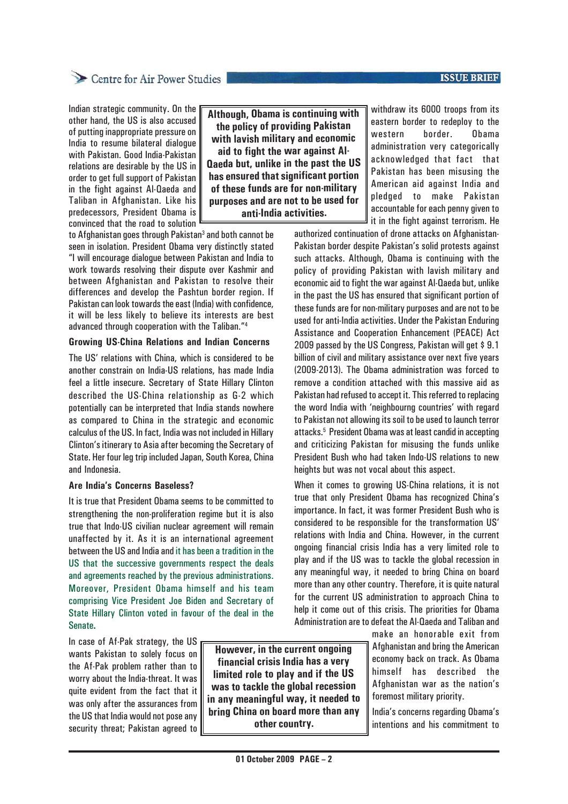### **ISSUE BRIEF**

# Centre for Air Power Studies

Indian strategic community. On the other hand, the US is also accused of putting inappropriate pressure on India to resume bilateral dialogue with Pakistan. Good India-Pakistan relations are desirable by the US in order to get full support of Pakistan in the fight against Al-Qaeda and Taliban in Afghanistan. Like his predecessors, President Obama is convinced that the road to solution

**Although, Obama is continuing with the policy of providing Pakistan with lavish military and economic aid to fight the war against Al-Qaeda but, unlike in the past the US has ensured that significant portion of these funds are for non-military purposes and are not to be used for anti-India activities.**

to Afghanistan goes through Pakistan<sup>3</sup> and both cannot be seen in isolation. President Obama very distinctly stated "I will encourage dialogue between Pakistan and India to work towards resolving their dispute over Kashmir and between Afghanistan and Pakistan to resolve their differences and develop the Pashtun border region. If Pakistan can look towards the east (India) with confidence, it will be less likely to believe its interests are best advanced through cooperation with the Taliban."4

### **Growing US-China Relations and Indian Concerns**

The US' relations with China, which is considered to be another constrain on India-US relations, has made India feel a little insecure. Secretary of State Hillary Clinton described the US-China relationship as G-2 which potentially can be interpreted that India stands nowhere as compared to China in the strategic and economic calculus of the US. In fact, India was not included in Hillary Clinton's itinerary to Asia after becoming the Secretary of State. Her four leg trip included Japan, South Korea, China and Indonesia.

### **Are India's Concerns Baseless?**

It is true that President Obama seems to be committed to strengthening the non-proliferation regime but it is also true that Indo-US civilian nuclear agreement will remain unaffected by it. As it is an international agreement between the US and India and it has been a tradition in the US that the successive governments respect the deals and agreements reached by the previous administrations. Moreover, President Obama himself and his team comprising Vice President Joe Biden and Secretary of State Hillary Clinton voted in favour of the deal in the Senate**.**

In case of Af-Pak strategy, the US wants Pakistan to solely focus on the Af-Pak problem rather than to worry about the India-threat. It was quite evident from the fact that it was only after the assurances from the US that India would not pose any security threat; Pakistan agreed to

**However, in the current ongoing financial crisis India has a very limited role to play and if the US was to tackle the global recession in any meaningful way, it needed to bring China on board more than any other country.**

withdraw its 6000 troops from its eastern border to redeploy to the western border. Obama administration very categorically acknowledged that fact that Pakistan has been misusing the American aid against India and pledged to make Pakistan accountable for each penny given to it in the fight against terrorism. He

authorized continuation of drone attacks on Afghanistan-Pakistan border despite Pakistan's solid protests against such attacks. Although, Obama is continuing with the policy of providing Pakistan with lavish military and economic aid to fight the war against Al-Qaeda but, unlike in the past the US has ensured that significant portion of these funds are for non-military purposes and are not to be used for anti-India activities. Under the Pakistan Enduring Assistance and Cooperation Enhancement (PEACE) Act 2009 passed by the US Congress, Pakistan will get \$ 9.1 billion of civil and military assistance over next five years (2009-2013). The Obama administration was forced to remove a condition attached with this massive aid as Pakistan had refused to accept it. This referred to replacing the word India with 'neighbourng countries' with regard to Pakistan not allowing its soil to be used to launch terror attacks.5 President Obama was at least candid in accepting and criticizing Pakistan for misusing the funds unlike President Bush who had taken Indo-US relations to new heights but was not vocal about this aspect.

When it comes to growing US-China relations, it is not true that only President Obama has recognized China's importance. In fact, it was former President Bush who is considered to be responsible for the transformation US' relations with India and China. However, in the current ongoing financial crisis India has a very limited role to play and if the US was to tackle the global recession in any meaningful way, it needed to bring China on board more than any other country. Therefore, it is quite natural for the current US administration to approach China to help it come out of this crisis. The priorities for Obama Administration are to defeat the Al-Qaeda and Taliban and

> make an honorable exit from Afghanistan and bring the American economy back on track. As Obama himself has described the Afghanistan war as the nation's foremost military priority.

India's concerns regarding Obama's intentions and his commitment to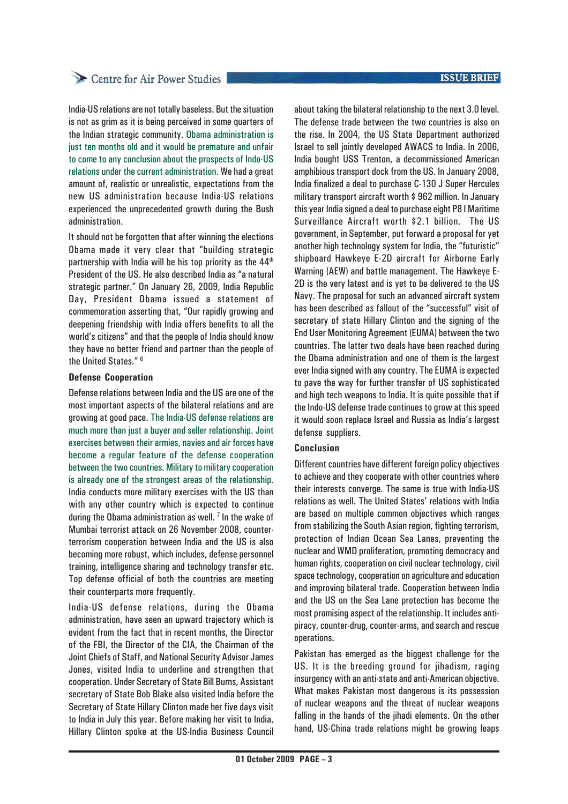# Centre for Air Power Studies

India-US relations are not totally baseless. But the situation is not as grim as it is being perceived in some quarters of the Indian strategic community. Obama administration is just ten months old and it would be premature and unfair to come to any conclusion about the prospects of Indo-US relations under the current administration. We had a great amount of, realistic or unrealistic, expectations from the new US administration because India-US relations experienced the unprecedented growth during the Bush administration.

It should not be forgotten that after winning the elections Obama made it very clear that "building strategic partnership with India will be his top priority as the  $44<sup>th</sup>$ President of the US. He also described India as "a natural strategic partner." On January 26, 2009, India Republic Day, President Obama issued a statement of commemoration asserting that, "Our rapidly growing and deepening friendship with India offers benefits to all the world's citizens" and that the people of India should know they have no better friend and partner than the people of the United States." 6

### **Defense Cooperation**

Defense relations between India and the US are one of the most important aspects of the bilateral relations and are growing at good pace. The India-US defense relations are much more than just a buyer and seller relationship. Joint exercises between their armies, navies and air forces have become a regular feature of the defense cooperation between the two countries. Military to military cooperation is already one of the strongest areas of the relationship. India conducts more military exercises with the US than with any other country which is expected to continue during the Obama administration as well.<sup>7</sup> In the wake of Mumbai terrorist attack on 26 November 2008, counterterrorism cooperation between India and the US is also becoming more robust, which includes, defense personnel training, intelligence sharing and technology transfer etc. Top defense official of both the countries are meeting their counterparts more frequently.

India-US defense relations, during the Obama administration, have seen an upward trajectory which is evident from the fact that in recent months, the Director of the FBI, the Director of the CIA, the Chairman of the Joint Chiefs of Staff, and National Security Advisor James Jones, visited India to underline and strengthen that cooperation. Under Secretary of State Bill Burns, Assistant secretary of State Bob Blake also visited India before the Secretary of State Hillary Clinton made her five days visit to India in July this year. Before making her visit to India, Hillary Clinton spoke at the US-India Business Council

### **ISSUE BRIEF**

about taking the bilateral relationship to the next 3.0 level. The defense trade between the two countries is also on the rise. In 2004, the US State Department authorized Israel to sell jointly developed AWACS to India. In 2006, India bought USS Trenton, a decommissioned American amphibious transport dock from the US. In January 2008, India finalized a deal to purchase C-130 J Super Hercules military transport aircraft worth \$ 962 million. In January this year India signed a deal to purchase eight P8 I Maritime Surveillance Aircraft worth \$2.1 billion. The US government, in September, put forward a proposal for yet another high technology system for India, the "futuristic" shipboard Hawkeye E-2D aircraft for Airborne Early Warning (AEW) and battle management. The Hawkeye E-2D is the very latest and is yet to be delivered to the US Navy. The proposal for such an advanced aircraft system has been described as fallout of the "successful" visit of secretary of state Hillary Clinton and the signing of the End User Monitoring Agreement (EUMA) between the two countries. The latter two deals have been reached during the Obama administration and one of them is the largest ever India signed with any country. The EUMA is expected to pave the way for further transfer of US sophisticated and high tech weapons to India. It is quite possible that if the Indo-US defense trade continues to grow at this speed it would soon replace Israel and Russia as India's largest defense suppliers.

## **Conclusion**

Different countries have different foreign policy objectives to achieve and they cooperate with other countries where their interests converge. The same is true with India-US relations as well. The United States' relations with India are based on multiple common objectives which ranges from stabilizing the South Asian region, fighting terrorism, protection of Indian Ocean Sea Lanes, preventing the nuclear and WMD proliferation, promoting democracy and human rights, cooperation on civil nuclear technology, civil space technology, cooperation on agriculture and education and improving bilateral trade. Cooperation between India and the US on the Sea Lane protection has become the most promising aspect of the relationship. It includes antipiracy, counter-drug, counter-arms, and search and rescue operations.

Pakistan has emerged as the biggest challenge for the US. It is the breeding ground for jihadism, raging insurgency with an anti-state and anti-American objective. What makes Pakistan most dangerous is its possession of nuclear weapons and the threat of nuclear weapons falling in the hands of the jihadi elements. On the other hand, US-China trade relations might be growing leaps